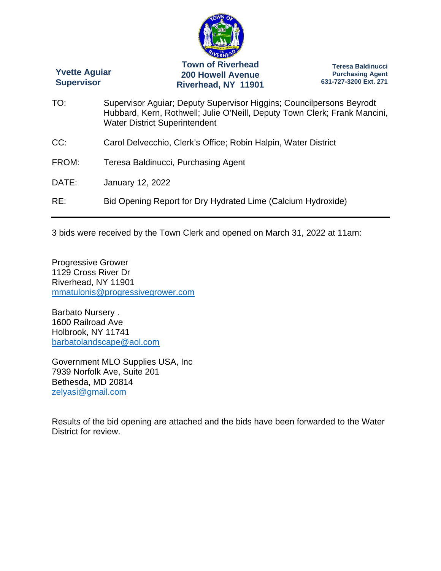

3 bids were received by the Town Clerk and opened on March 31, 2022 at 11am:

Progressive Grower 1129 Cross River Dr Riverhead, NY 11901 mmatulonis@progressivegrower.com

Barbato Nursery . 1600 Railroad Ave Holbrook, NY 11741 barbatolandscape@aol.com

Government MLO Supplies USA, Inc 7939 Norfolk Ave, Suite 201 Bethesda, MD 20814 zelyasi@gmail.com

Results of the bid opening are attached and the bids have been forwarded to the Water District for review.